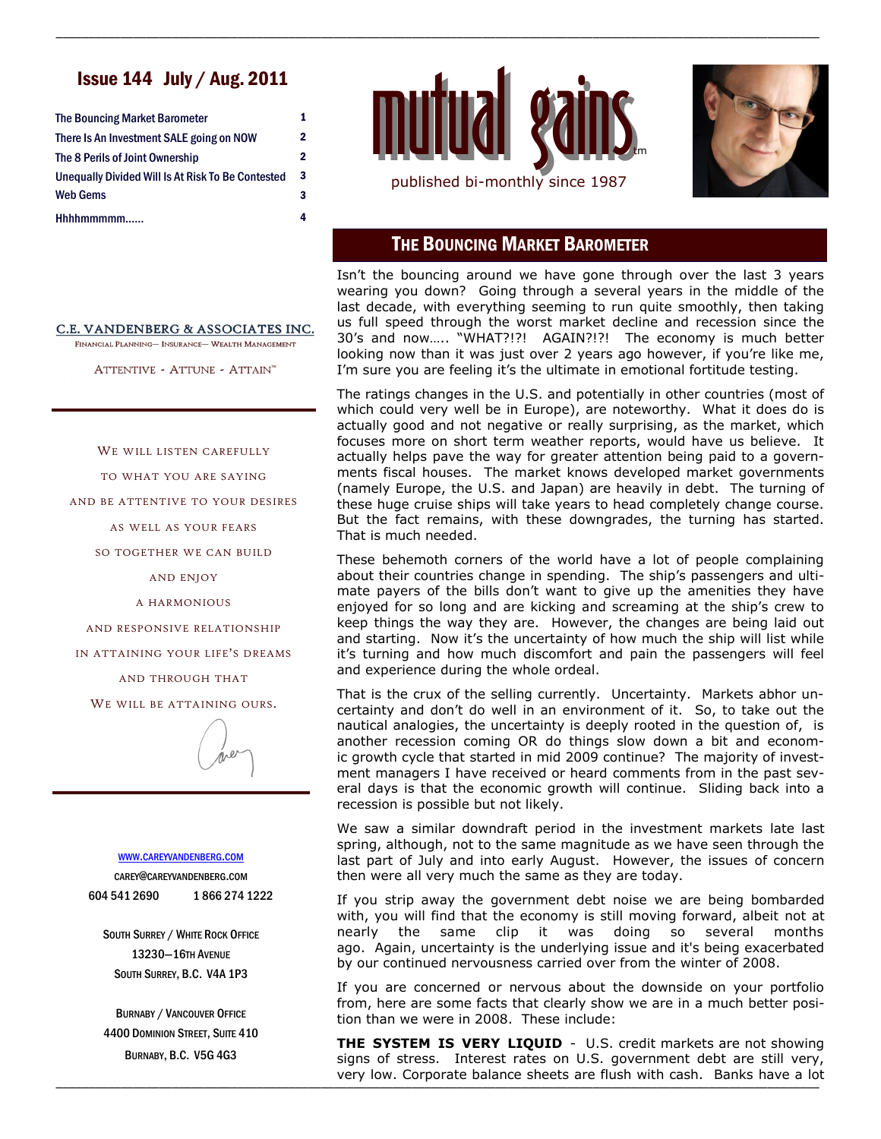# Issue 144 July / Aug. 2011

| <b>The Bouncing Market Barometer</b>                                                 | 1 |
|--------------------------------------------------------------------------------------|---|
| There Is An Investment SALE going on NOW                                             | 2 |
| The 8 Perils of Joint Ownership<br>Unequally Divided Will Is At Risk To Be Contested | 2 |
|                                                                                      | 3 |
| Web Gems                                                                             | 3 |
| Hhhhmmmmm                                                                            | 4 |



\_\_\_\_\_\_\_\_\_\_\_\_\_\_\_\_\_\_\_\_\_\_\_\_\_\_\_\_\_\_\_\_\_\_\_\_\_\_\_\_\_\_\_\_\_\_\_\_\_\_\_\_\_\_\_\_\_\_\_\_\_\_\_\_\_\_\_\_\_\_\_\_\_\_\_\_\_\_\_\_\_\_\_\_\_\_\_\_\_\_\_\_\_\_\_\_\_\_\_\_\_\_\_\_\_\_\_\_\_\_\_\_\_\_\_\_\_\_



### THE BOUNCING MARKET BAROMETER

Isn't the bouncing around we have gone through over the last 3 years wearing you down? Going through a several years in the middle of the last decade, with everything seeming to run quite smoothly, then taking us full speed through the worst market decline and recession since the 30's and now….. "WHAT?!?! AGAIN?!?! The economy is much better looking now than it was just over 2 years ago however, if you're like me, I'm sure you are feeling it's the ultimate in emotional fortitude testing.

The ratings changes in the U.S. and potentially in other countries (most of which could very well be in Europe), are noteworthy. What it does do is actually good and not negative or really surprising, as the market, which focuses more on short term weather reports, would have us believe. It actually helps pave the way for greater attention being paid to a governments fiscal houses. The market knows developed market governments (namely Europe, the U.S. and Japan) are heavily in debt. The turning of these huge cruise ships will take years to head completely change course. But the fact remains, with these downgrades, the turning has started. That is much needed.

These behemoth corners of the world have a lot of people complaining about their countries change in spending. The ship's passengers and ultimate payers of the bills don't want to give up the amenities they have enjoyed for so long and are kicking and screaming at the ship's crew to keep things the way they are. However, the changes are being laid out and starting. Now it's the uncertainty of how much the ship will list while it's turning and how much discomfort and pain the passengers will feel and experience during the whole ordeal.

That is the crux of the selling currently. Uncertainty. Markets abhor uncertainty and don't do well in an environment of it. So, to take out the nautical analogies, the uncertainty is deeply rooted in the question of, is another recession coming OR do things slow down a bit and economic growth cycle that started in mid 2009 continue? The majority of investment managers I have received or heard comments from in the past several days is that the economic growth will continue. Sliding back into a recession is possible but not likely.

We saw a similar downdraft period in the investment markets late last spring, although, not to the same magnitude as we have seen through the last part of July and into early August. However, the issues of concern then were all very much the same as they are today.

If you strip away the government debt noise we are being bombarded with, you will find that the economy is still moving forward, albeit not at nearly the same clip it was doing so several months ago. Again, uncertainty is the underlying issue and it's being exacerbated by our continued nervousness carried over from the winter of 2008.

If you are concerned or nervous about the downside on your portfolio from, here are some facts that clearly show we are in a much better position than we were in 2008. These include:

\_\_\_\_\_\_\_\_\_\_\_\_\_\_\_\_\_\_\_\_\_\_\_\_\_\_\_\_\_\_\_\_\_\_\_\_\_\_\_\_\_\_\_\_\_\_\_\_\_\_\_\_\_\_\_\_\_\_\_\_\_\_\_\_\_\_\_\_\_\_\_\_\_\_\_\_\_\_\_\_\_\_\_\_\_\_\_\_\_\_\_\_\_\_\_\_\_\_\_\_\_\_\_\_\_\_\_\_\_\_\_\_\_\_\_\_\_\_ very low. Corporate balance sheets are flush with cash. Banks have a lot **THE SYSTEM IS VERY LIQUID** - U.S. credit markets are not showing signs of stress. Interest rates on U.S. government debt are still very,

#### C.E. VANDENBERG & ASSOCIATES INC.

FINANCIAL PLANNING- INSURANCE- WEALTH MANAGEMENT

ATTENTIVE - ATTUNE - ATTAIN™

WE WILL LISTEN CAREFULLY

TO WHAT YOU ARE SAYING

AND BE ATTENTIVE TO YOUR DESIRES

AS WELL AS YOUR FEARS

SO TOGETHER WE CAN BUILD

AND ENJOY

A HARMONIOUS

AND RESPONSIVE RELATIONSHIP

IN ATTAINING YOUR LIFE'S DREAMS

AND THROUGH THAT

WE WILL BE ATTAINING OURS.

#### WWW.[CAREYVANDENBERG](http://careyvandenberg.com).COM

CAREY@CAREYVANDENBERG.COM 604 541 2690 1 866 274 1222

SOUTH SURREY / WHITE ROCK OFFICE 13230—16TH AVENUE SOUTH SURREY, B.C. V4A 1P3

BURNABY / VANCOUVER OFFICE 4400 DOMINION STREET, SUITE 410 BURNABY, B.C. V5G 4G3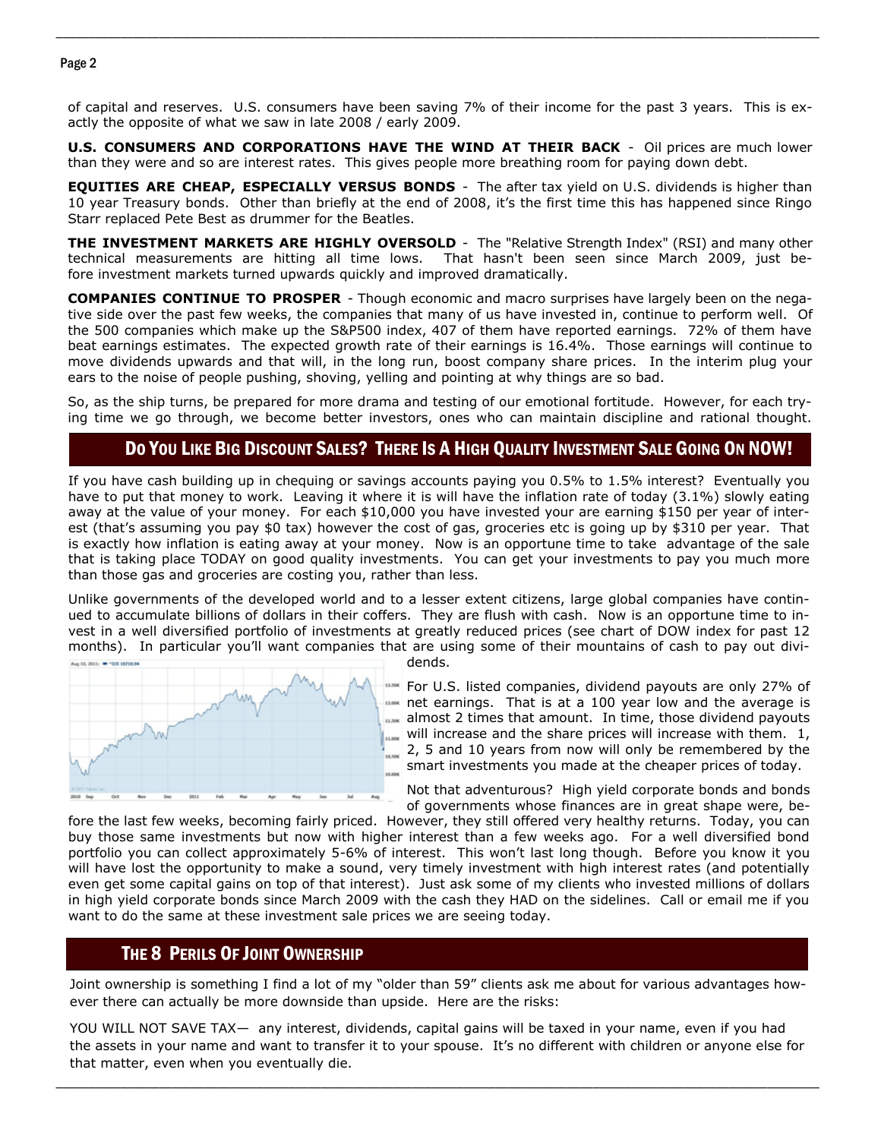### Page 2

of capital and reserves. U.S. consumers have been saving 7% of their income for the past 3 years. This is exactly the opposite of what we saw in late 2008 / early 2009.

\_\_\_\_\_\_\_\_\_\_\_\_\_\_\_\_\_\_\_\_\_\_\_\_\_\_\_\_\_\_\_\_\_\_\_\_\_\_\_\_\_\_\_\_\_\_\_\_\_\_\_\_\_\_\_\_\_\_\_\_\_\_\_\_\_\_\_\_\_\_\_\_\_\_\_\_\_\_\_\_\_\_\_\_\_\_\_\_\_\_\_\_\_\_\_\_\_\_\_\_\_\_\_\_\_\_\_\_\_\_\_\_\_\_\_\_\_\_

**U.S. CONSUMERS AND CORPORATIONS HAVE THE WIND AT THEIR BACK** - Oil prices are much lower than they were and so are interest rates. This gives people more breathing room for paying down debt.

**EQUITIES ARE CHEAP, ESPECIALLY VERSUS BONDS** - The after tax yield on U.S. dividends is higher than 10 year Treasury bonds. Other than briefly at the end of 2008, it's the first time this has happened since Ringo Starr replaced Pete Best as drummer for the Beatles.

**THE INVESTMENT MARKETS ARE HIGHLY OVERSOLD** - The "Relative Strength Index" (RSI) and many other technical measurements are hitting all time lows. That hasn't been seen since March 2009, just before investment markets turned upwards quickly and improved dramatically.

**COMPANIES CONTINUE TO PROSPER** - Though economic and macro surprises have largely been on the negative side over the past few weeks, the companies that many of us have invested in, continue to perform well. Of the 500 companies which make up the S&P500 index, 407 of them have reported earnings. 72% of them have beat earnings estimates. The expected growth rate of their earnings is 16.4%. Those earnings will continue to move dividends upwards and that will, in the long run, boost company share prices. In the interim plug your ears to the noise of people pushing, shoving, yelling and pointing at why things are so bad.

So, as the ship turns, be prepared for more drama and testing of our emotional fortitude. However, for each trying time we go through, we become better investors, ones who can maintain discipline and rational thought.

# DO YOU LIKE BIG DISCOUNT SALES? THERE IS A HIGH QUALITY INVESTMENT SALE GOING ON NOW!

If you have cash building up in chequing or savings accounts paying you 0.5% to 1.5% interest? Eventually you have to put that money to work. Leaving it where it is will have the inflation rate of today (3.1%) slowly eating away at the value of your money. For each \$10,000 you have invested your are earning \$150 per year of interest (that's assuming you pay \$0 tax) however the cost of gas, groceries etc is going up by \$310 per year. That is exactly how inflation is eating away at your money. Now is an opportune time to take advantage of the sale that is taking place TODAY on good quality investments. You can get your investments to pay you much more than those gas and groceries are costing you, rather than less.

Unlike governments of the developed world and to a lesser extent citizens, large global companies have continued to accumulate billions of dollars in their coffers. They are flush with cash. Now is an opportune time to invest in a well diversified portfolio of investments at greatly reduced prices (see chart of DOW index for past 12 months). In particular you'll want companies that are using some of their mountains of cash to pay out divi-



dends.

**EXECUTE:** For U.S. listed companies, dividend payouts are only 27% of net earnings. That is at a 100 year low and the average is almost 2 times that amount. In time, those dividend payouts will increase and the share prices will increase with them.  $1$ , 2, 5 and 10 years from now will only be remembered by the smart investments you made at the cheaper prices of today.

Not that adventurous? High yield corporate bonds and bonds of governments whose finances are in great shape were, be-

fore the last few weeks, becoming fairly priced. However, they still offered very healthy returns. Today, you can buy those same investments but now with higher interest than a few weeks ago. For a well diversified bond portfolio you can collect approximately 5-6% of interest. This won't last long though. Before you know it you will have lost the opportunity to make a sound, very timely investment with high interest rates (and potentially even get some capital gains on top of that interest). Just ask some of my clients who invested millions of dollars in high yield corporate bonds since March 2009 with the cash they HAD on the sidelines. Call or email me if you want to do the same at these investment sale prices we are seeing today.

### THE 8 PERILS OF JOINT OWNERSHIP

Joint ownership is something I find a lot of my "older than 59" clients ask me about for various advantages however there can actually be more downside than upside. Here are the risks:

YOU WILL NOT SAVE TAX— any interest, dividends, capital gains will be taxed in your name, even if you had the assets in your name and want to transfer it to your spouse. It's no different with children or anyone else for that matter, even when you eventually die.

\_\_\_\_\_\_\_\_\_\_\_\_\_\_\_\_\_\_\_\_\_\_\_\_\_\_\_\_\_\_\_\_\_\_\_\_\_\_\_\_\_\_\_\_\_\_\_\_\_\_\_\_\_\_\_\_\_\_\_\_\_\_\_\_\_\_\_\_\_\_\_\_\_\_\_\_\_\_\_\_\_\_\_\_\_\_\_\_\_\_\_\_\_\_\_\_\_\_\_\_\_\_\_\_\_\_\_\_\_\_\_\_\_\_\_\_\_\_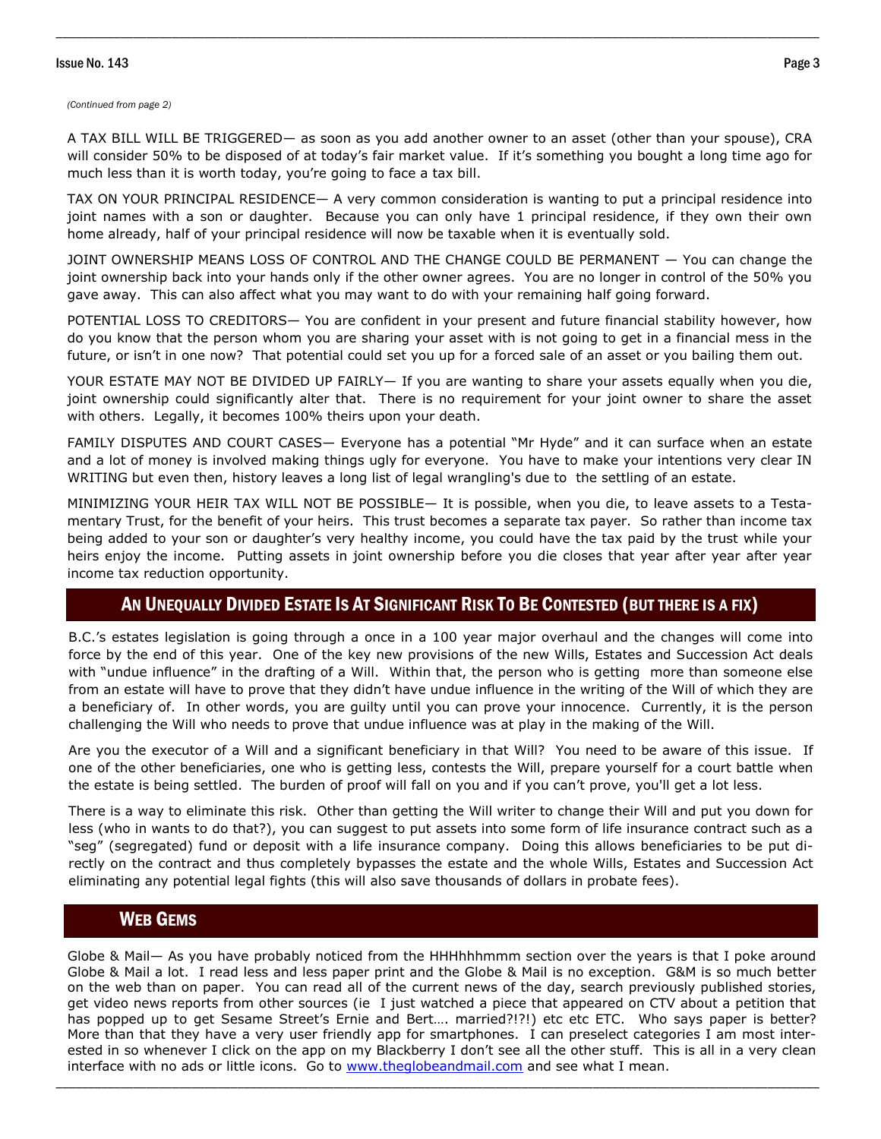### Issue No. 143 Page 3

#### *(Continued from page 2)*

A TAX BILL WILL BE TRIGGERED— as soon as you add another owner to an asset (other than your spouse), CRA will consider 50% to be disposed of at today's fair market value. If it's something you bought a long time ago for much less than it is worth today, you're going to face a tax bill.

\_\_\_\_\_\_\_\_\_\_\_\_\_\_\_\_\_\_\_\_\_\_\_\_\_\_\_\_\_\_\_\_\_\_\_\_\_\_\_\_\_\_\_\_\_\_\_\_\_\_\_\_\_\_\_\_\_\_\_\_\_\_\_\_\_\_\_\_\_\_\_\_\_\_\_\_\_\_\_\_\_\_\_\_\_\_\_\_\_\_\_\_\_\_\_\_\_\_\_\_\_\_\_\_\_\_\_\_\_\_\_\_\_\_\_\_\_\_

TAX ON YOUR PRINCIPAL RESIDENCE— A very common consideration is wanting to put a principal residence into joint names with a son or daughter. Because you can only have 1 principal residence, if they own their own home already, half of your principal residence will now be taxable when it is eventually sold.

JOINT OWNERSHIP MEANS LOSS OF CONTROL AND THE CHANGE COULD BE PERMANENT — You can change the joint ownership back into your hands only if the other owner agrees. You are no longer in control of the 50% you gave away. This can also affect what you may want to do with your remaining half going forward.

POTENTIAL LOSS TO CREDITORS— You are confident in your present and future financial stability however, how do you know that the person whom you are sharing your asset with is not going to get in a financial mess in the future, or isn't in one now? That potential could set you up for a forced sale of an asset or you bailing them out.

YOUR ESTATE MAY NOT BE DIVIDED UP FAIRLY— If you are wanting to share your assets equally when you die, joint ownership could significantly alter that. There is no requirement for your joint owner to share the asset with others. Legally, it becomes 100% theirs upon your death.

FAMILY DISPUTES AND COURT CASES— Everyone has a potential "Mr Hyde" and it can surface when an estate and a lot of money is involved making things ugly for everyone. You have to make your intentions very clear IN WRITING but even then, history leaves a long list of legal wrangling's due to the settling of an estate.

MINIMIZING YOUR HEIR TAX WILL NOT BE POSSIBLE— It is possible, when you die, to leave assets to a Testamentary Trust, for the benefit of your heirs. This trust becomes a separate tax payer. So rather than income tax being added to your son or daughter's very healthy income, you could have the tax paid by the trust while your heirs enjoy the income. Putting assets in joint ownership before you die closes that year after year after year income tax reduction opportunity.

## AN UNEQUALLY DIVIDED ESTATE IS AT SIGNIFICANT RISK TO BE CONTESTED (BUT THERE IS A FIX)

B.C.'s estates legislation is going through a once in a 100 year major overhaul and the changes will come into force by the end of this year. One of the key new provisions of the new Wills, Estates and Succession Act deals with "undue influence" in the drafting of a Will. Within that, the person who is getting more than someone else from an estate will have to prove that they didn't have undue influence in the writing of the Will of which they are a beneficiary of. In other words, you are guilty until you can prove your innocence. Currently, it is the person challenging the Will who needs to prove that undue influence was at play in the making of the Will.

Are you the executor of a Will and a significant beneficiary in that Will? You need to be aware of this issue. If one of the other beneficiaries, one who is getting less, contests the Will, prepare yourself for a court battle when the estate is being settled. The burden of proof will fall on you and if you can't prove, you'll get a lot less.

There is a way to eliminate this risk. Other than getting the Will writer to change their Will and put you down for less (who in wants to do that?), you can suggest to put assets into some form of life insurance contract such as a "seg" (segregated) fund or deposit with a life insurance company. Doing this allows beneficiaries to be put directly on the contract and thus completely bypasses the estate and the whole Wills, Estates and Succession Act eliminating any potential legal fights (this will also save thousands of dollars in probate fees).

# WEB GEMS

Globe & Mail— As you have probably noticed from the HHHhhhmmm section over the years is that I poke around Globe & Mail a lot. I read less and less paper print and the Globe & Mail is no exception. G&M is so much better on the web than on paper. You can read all of the current news of the day, search previously published stories, get video news reports from other sources (ie I just watched a piece that appeared on CTV about a petition that has popped up to get Sesame Street's Ernie and Bert.... married?!?!) etc etc ETC. Who says paper is better? More than that they have a very user friendly app for smartphones. I can preselect categories I am most interested in so whenever I click on the app on my Blackberry I don't see all the other stuff. This is all in a very clean interface with no ads or little icons. Go to [www.theglobeandmail.com](http://www.theglobeandmail.com) and see what I mean.

\_\_\_\_\_\_\_\_\_\_\_\_\_\_\_\_\_\_\_\_\_\_\_\_\_\_\_\_\_\_\_\_\_\_\_\_\_\_\_\_\_\_\_\_\_\_\_\_\_\_\_\_\_\_\_\_\_\_\_\_\_\_\_\_\_\_\_\_\_\_\_\_\_\_\_\_\_\_\_\_\_\_\_\_\_\_\_\_\_\_\_\_\_\_\_\_\_\_\_\_\_\_\_\_\_\_\_\_\_\_\_\_\_\_\_\_\_\_